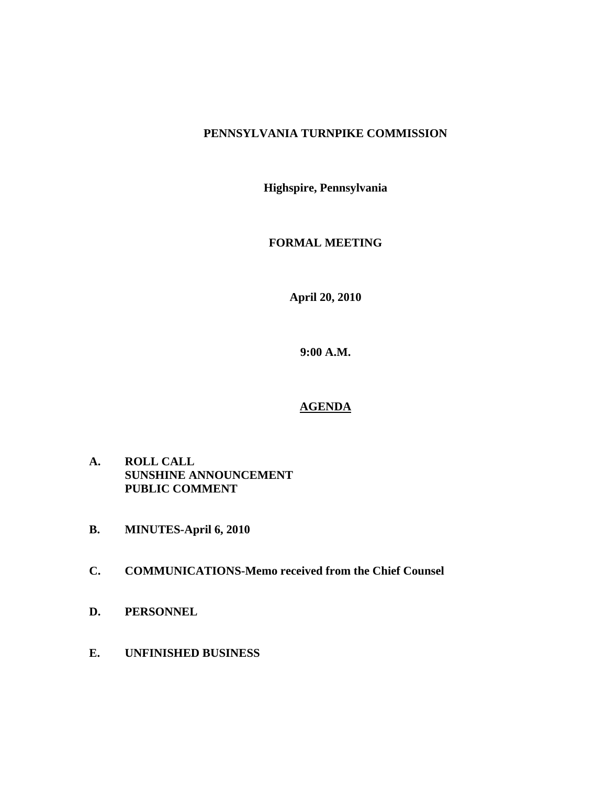# **PENNSYLVANIA TURNPIKE COMMISSION**

**Highspire, Pennsylvania** 

**FORMAL MEETING** 

**April 20, 2010** 

**9:00 A.M.** 

# **AGENDA**

- **A. ROLL CALL SUNSHINE ANNOUNCEMENT PUBLIC COMMENT**
- **B. MINUTES-April 6, 2010**
- **C. COMMUNICATIONS-Memo received from the Chief Counsel**
- **D. PERSONNEL**
- **E. UNFINISHED BUSINESS**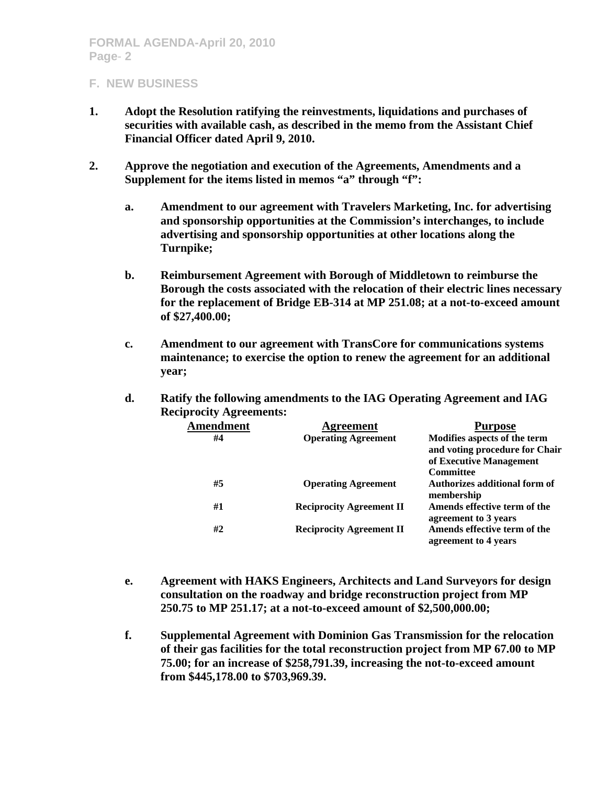- **1. Adopt the Resolution ratifying the reinvestments, liquidations and purchases of securities with available cash, as described in the memo from the Assistant Chief Financial Officer dated April 9, 2010.**
- **2. Approve the negotiation and execution of the Agreements, Amendments and a Supplement for the items listed in memos "a" through "f":** 
	- **a. Amendment to our agreement with Travelers Marketing, Inc. for advertising and sponsorship opportunities at the Commission's interchanges, to include advertising and sponsorship opportunities at other locations along the Turnpike;**
	- **b. Reimbursement Agreement with Borough of Middletown to reimburse the Borough the costs associated with the relocation of their electric lines necessary for the replacement of Bridge EB-314 at MP 251.08; at a not-to-exceed amount of \$27,400.00;**
	- **c. Amendment to our agreement with TransCore for communications systems maintenance; to exercise the option to renew the agreement for an additional year;**
	- **d. Ratify the following amendments to the IAG Operating Agreement and IAG Reciprocity Agreements:**

| <b>Amendment</b> | <b>Agreement</b>                | <b>Purpose</b>                 |
|------------------|---------------------------------|--------------------------------|
| #4               | <b>Operating Agreement</b>      | Modifies aspects of the term   |
|                  |                                 | and voting procedure for Chair |
|                  |                                 | of Executive Management        |
|                  |                                 | <b>Committee</b>               |
| #5               | <b>Operating Agreement</b>      | Authorizes additional form of  |
|                  |                                 | membership                     |
| #1               | <b>Reciprocity Agreement II</b> | Amends effective term of the   |
|                  |                                 | agreement to 3 years           |
| #2               | <b>Reciprocity Agreement II</b> | Amends effective term of the   |
|                  |                                 | agreement to 4 years           |

- **e. Agreement with HAKS Engineers, Architects and Land Surveyors for design consultation on the roadway and bridge reconstruction project from MP 250.75 to MP 251.17; at a not-to-exceed amount of \$2,500,000.00;**
- **f. Supplemental Agreement with Dominion Gas Transmission for the relocation of their gas facilities for the total reconstruction project from MP 67.00 to MP 75.00; for an increase of \$258,791.39, increasing the not-to-exceed amount from \$445,178.00 to \$703,969.39.**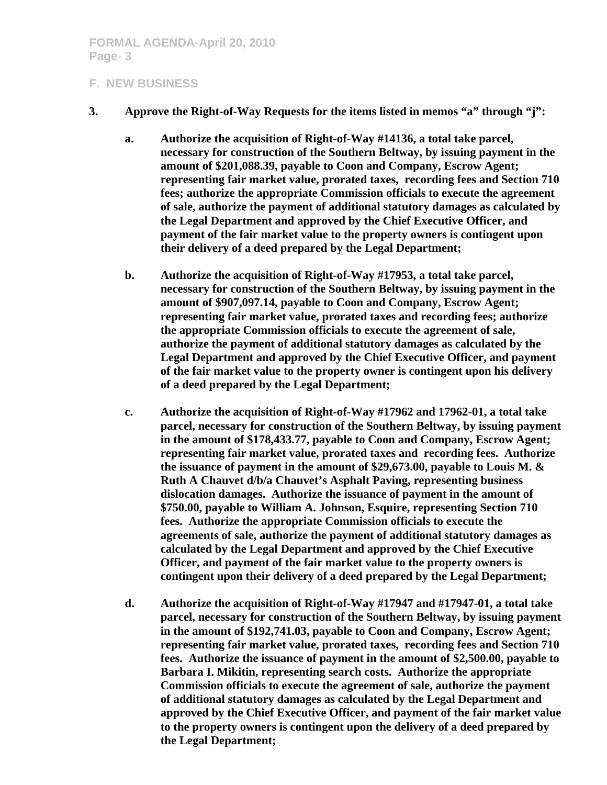- **3. Approve the Right-of-Way Requests for the items listed in memos "a" through "j":** 
	- **a. Authorize the acquisition of Right-of-Way #14136, a total take parcel, necessary for construction of the Southern Beltway, by issuing payment in the amount of \$201,088.39, payable to Coon and Company, Escrow Agent; representing fair market value, prorated taxes, recording fees and Section 710 fees; authorize the appropriate Commission officials to execute the agreement of sale, authorize the payment of additional statutory damages as calculated by the Legal Department and approved by the Chief Executive Officer, and payment of the fair market value to the property owners is contingent upon their delivery of a deed prepared by the Legal Department;**
	- **b. Authorize the acquisition of Right-of-Way #17953, a total take parcel, necessary for construction of the Southern Beltway, by issuing payment in the amount of \$907,097.14, payable to Coon and Company, Escrow Agent; representing fair market value, prorated taxes and recording fees; authorize the appropriate Commission officials to execute the agreement of sale, authorize the payment of additional statutory damages as calculated by the Legal Department and approved by the Chief Executive Officer, and payment of the fair market value to the property owner is contingent upon his delivery of a deed prepared by the Legal Department;**
	- **c. Authorize the acquisition of Right-of-Way #17962 and 17962-01, a total take parcel, necessary for construction of the Southern Beltway, by issuing payment in the amount of \$178,433.77, payable to Coon and Company, Escrow Agent; representing fair market value, prorated taxes and recording fees. Authorize the issuance of payment in the amount of \$29,673.00, payable to Louis M. & Ruth A Chauvet d/b/a Chauvet's Asphalt Paving, representing business dislocation damages. Authorize the issuance of payment in the amount of \$750.00, payable to William A. Johnson, Esquire, representing Section 710 fees. Authorize the appropriate Commission officials to execute the agreements of sale, authorize the payment of additional statutory damages as calculated by the Legal Department and approved by the Chief Executive Officer, and payment of the fair market value to the property owners is contingent upon their delivery of a deed prepared by the Legal Department;**
	- **d. Authorize the acquisition of Right-of-Way #17947 and #17947-01, a total take parcel, necessary for construction of the Southern Beltway, by issuing payment in the amount of \$192,741.03, payable to Coon and Company, Escrow Agent; representing fair market value, prorated taxes, recording fees and Section 710 fees. Authorize the issuance of payment in the amount of \$2,500.00, payable to Barbara I. Mikitin, representing search costs. Authorize the appropriate Commission officials to execute the agreement of sale, authorize the payment of additional statutory damages as calculated by the Legal Department and approved by the Chief Executive Officer, and payment of the fair market value to the property owners is contingent upon the delivery of a deed prepared by the Legal Department;**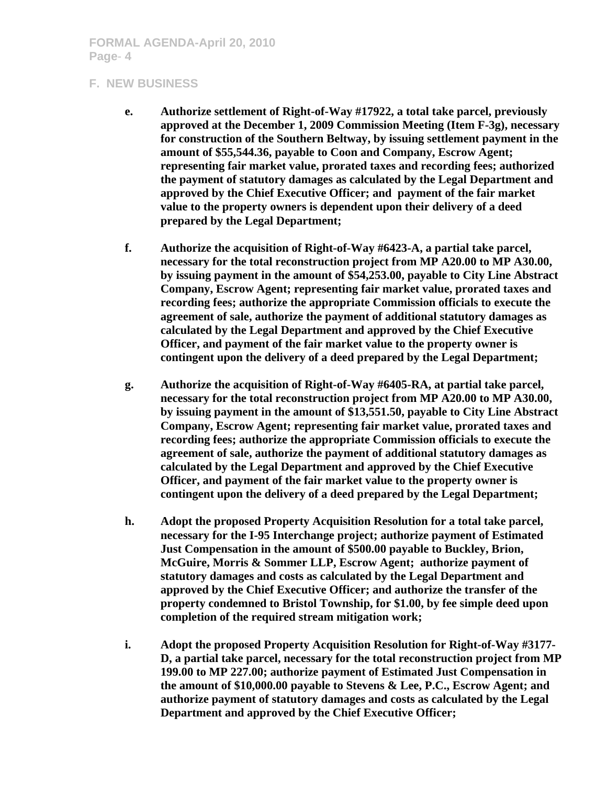- **e. Authorize settlement of Right-of-Way #17922, a total take parcel, previously approved at the December 1, 2009 Commission Meeting (Item F-3g), necessary for construction of the Southern Beltway, by issuing settlement payment in the amount of \$55,544.36, payable to Coon and Company, Escrow Agent; representing fair market value, prorated taxes and recording fees; authorized the payment of statutory damages as calculated by the Legal Department and approved by the Chief Executive Officer; and payment of the fair market value to the property owners is dependent upon their delivery of a deed prepared by the Legal Department;**
- **f. Authorize the acquisition of Right-of-Way #6423-A, a partial take parcel, necessary for the total reconstruction project from MP A20.00 to MP A30.00, by issuing payment in the amount of \$54,253.00, payable to City Line Abstract Company, Escrow Agent; representing fair market value, prorated taxes and recording fees; authorize the appropriate Commission officials to execute the agreement of sale, authorize the payment of additional statutory damages as calculated by the Legal Department and approved by the Chief Executive Officer, and payment of the fair market value to the property owner is contingent upon the delivery of a deed prepared by the Legal Department;**
- **g. Authorize the acquisition of Right-of-Way #6405-RA, at partial take parcel, necessary for the total reconstruction project from MP A20.00 to MP A30.00, by issuing payment in the amount of \$13,551.50, payable to City Line Abstract Company, Escrow Agent; representing fair market value, prorated taxes and recording fees; authorize the appropriate Commission officials to execute the agreement of sale, authorize the payment of additional statutory damages as calculated by the Legal Department and approved by the Chief Executive Officer, and payment of the fair market value to the property owner is contingent upon the delivery of a deed prepared by the Legal Department;**
- **h. Adopt the proposed Property Acquisition Resolution for a total take parcel, necessary for the I-95 Interchange project; authorize payment of Estimated Just Compensation in the amount of \$500.00 payable to Buckley, Brion, McGuire, Morris & Sommer LLP, Escrow Agent; authorize payment of statutory damages and costs as calculated by the Legal Department and approved by the Chief Executive Officer; and authorize the transfer of the property condemned to Bristol Township, for \$1.00, by fee simple deed upon completion of the required stream mitigation work;**
- **i. Adopt the proposed Property Acquisition Resolution for Right-of-Way #3177- D, a partial take parcel, necessary for the total reconstruction project from MP 199.00 to MP 227.00; authorize payment of Estimated Just Compensation in the amount of \$10,000.00 payable to Stevens & Lee, P.C., Escrow Agent; and authorize payment of statutory damages and costs as calculated by the Legal Department and approved by the Chief Executive Officer;**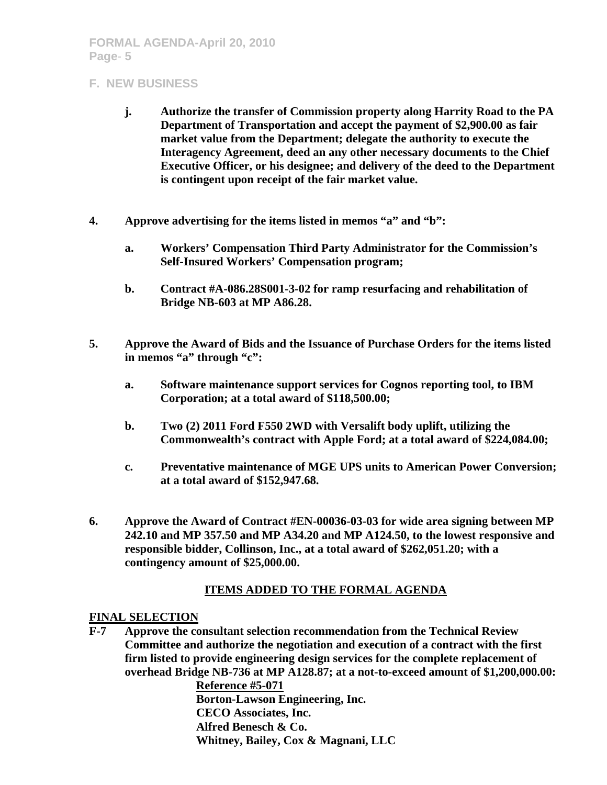- **j. Authorize the transfer of Commission property along Harrity Road to the PA Department of Transportation and accept the payment of \$2,900.00 as fair market value from the Department; delegate the authority to execute the Interagency Agreement, deed an any other necessary documents to the Chief Executive Officer, or his designee; and delivery of the deed to the Department is contingent upon receipt of the fair market value.**
- **4. Approve advertising for the items listed in memos "a" and "b":** 
	- **a. Workers' Compensation Third Party Administrator for the Commission's Self-Insured Workers' Compensation program;**
	- **b. Contract #A-086.28S001-3-02 for ramp resurfacing and rehabilitation of Bridge NB-603 at MP A86.28.**
- **5. Approve the Award of Bids and the Issuance of Purchase Orders for the items listed in memos "a" through "c":** 
	- **a. Software maintenance support services for Cognos reporting tool, to IBM Corporation; at a total award of \$118,500.00;**
	- **b. Two (2) 2011 Ford F550 2WD with Versalift body uplift, utilizing the Commonwealth's contract with Apple Ford; at a total award of \$224,084.00;**
	- **c. Preventative maintenance of MGE UPS units to American Power Conversion; at a total award of \$152,947.68.**
- **6. Approve the Award of Contract #EN-00036-03-03 for wide area signing between MP 242.10 and MP 357.50 and MP A34.20 and MP A124.50, to the lowest responsive and responsible bidder, Collinson, Inc., at a total award of \$262,051.20; with a contingency amount of \$25,000.00.**

# **ITEMS ADDED TO THE FORMAL AGENDA**

#### **FINAL SELECTION**

**F-7 Approve the consultant selection recommendation from the Technical Review Committee and authorize the negotiation and execution of a contract with the first firm listed to provide engineering design services for the complete replacement of overhead Bridge NB-736 at MP A128.87; at a not-to-exceed amount of \$1,200,000.00:** 

 **Reference #5-071 Borton-Lawson Engineering, Inc. CECO Associates, Inc. Alfred Benesch & Co. Whitney, Bailey, Cox & Magnani, LLC**